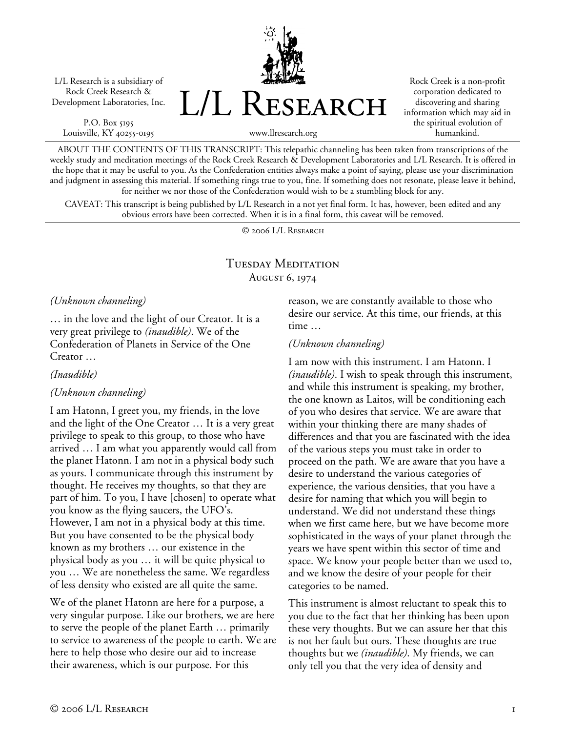L/L Research is a subsidiary of Rock Creek Research & Development Laboratories, Inc.

P.O. Box 5195 Louisville, KY 40255-0195 L/L Research

Rock Creek is a non-profit corporation dedicated to discovering and sharing information which may aid in the spiritual evolution of humankind.

www.llresearch.org

ABOUT THE CONTENTS OF THIS TRANSCRIPT: This telepathic channeling has been taken from transcriptions of the weekly study and meditation meetings of the Rock Creek Research & Development Laboratories and L/L Research. It is offered in the hope that it may be useful to you. As the Confederation entities always make a point of saying, please use your discrimination and judgment in assessing this material. If something rings true to you, fine. If something does not resonate, please leave it behind, for neither we nor those of the Confederation would wish to be a stumbling block for any.

CAVEAT: This transcript is being published by L/L Research in a not yet final form. It has, however, been edited and any obvious errors have been corrected. When it is in a final form, this caveat will be removed.

© 2006 L/L Research

# Tuesday Meditation August 6, 1974

### *(Unknown channeling)*

… in the love and the light of our Creator. It is a very great privilege to *(inaudible)*. We of the Confederation of Planets in Service of the One Creator …

*(Inaudible)* 

## *(Unknown channeling)*

I am Hatonn, I greet you, my friends, in the love and the light of the One Creator … It is a very great privilege to speak to this group, to those who have arrived … I am what you apparently would call from the planet Hatonn. I am not in a physical body such as yours. I communicate through this instrument by thought. He receives my thoughts, so that they are part of him. To you, I have [chosen] to operate what you know as the flying saucers, the UFO's. However, I am not in a physical body at this time. But you have consented to be the physical body known as my brothers … our existence in the physical body as you … it will be quite physical to you … We are nonetheless the same. We regardless of less density who existed are all quite the same.

We of the planet Hatonn are here for a purpose, a very singular purpose. Like our brothers, we are here to serve the people of the planet Earth … primarily to service to awareness of the people to earth. We are here to help those who desire our aid to increase their awareness, which is our purpose. For this

reason, we are constantly available to those who desire our service. At this time, our friends, at this time …

### *(Unknown channeling)*

I am now with this instrument. I am Hatonn. I *(inaudible)*. I wish to speak through this instrument, and while this instrument is speaking, my brother, the one known as Laitos, will be conditioning each of you who desires that service. We are aware that within your thinking there are many shades of differences and that you are fascinated with the idea of the various steps you must take in order to proceed on the path. We are aware that you have a desire to understand the various categories of experience, the various densities, that you have a desire for naming that which you will begin to understand. We did not understand these things when we first came here, but we have become more sophisticated in the ways of your planet through the years we have spent within this sector of time and space. We know your people better than we used to, and we know the desire of your people for their categories to be named.

This instrument is almost reluctant to speak this to you due to the fact that her thinking has been upon these very thoughts. But we can assure her that this is not her fault but ours. These thoughts are true thoughts but we *(inaudible)*. My friends, we can only tell you that the very idea of density and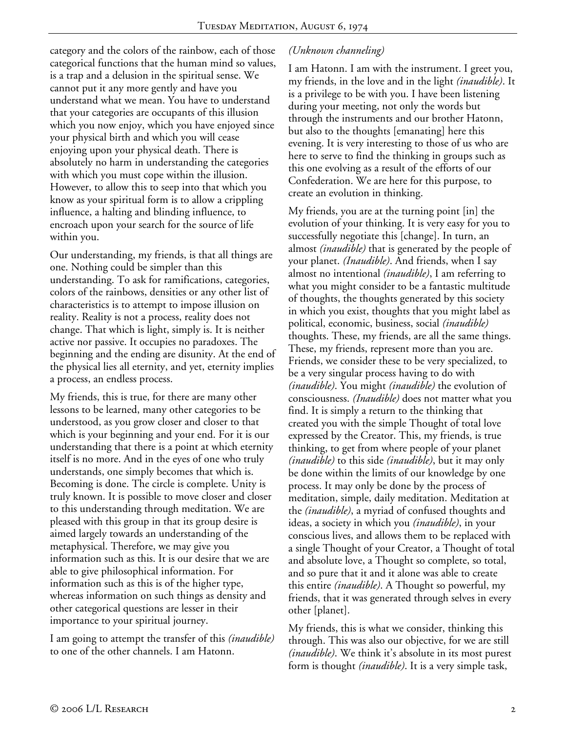category and the colors of the rainbow, each of those categorical functions that the human mind so values, is a trap and a delusion in the spiritual sense. We cannot put it any more gently and have you understand what we mean. You have to understand that your categories are occupants of this illusion which you now enjoy, which you have enjoyed since your physical birth and which you will cease enjoying upon your physical death. There is absolutely no harm in understanding the categories with which you must cope within the illusion. However, to allow this to seep into that which you know as your spiritual form is to allow a crippling influence, a halting and blinding influence, to encroach upon your search for the source of life within you.

Our understanding, my friends, is that all things are one. Nothing could be simpler than this understanding. To ask for ramifications, categories, colors of the rainbows, densities or any other list of characteristics is to attempt to impose illusion on reality. Reality is not a process, reality does not change. That which is light, simply is. It is neither active nor passive. It occupies no paradoxes. The beginning and the ending are disunity. At the end of the physical lies all eternity, and yet, eternity implies a process, an endless process.

My friends, this is true, for there are many other lessons to be learned, many other categories to be understood, as you grow closer and closer to that which is your beginning and your end. For it is our understanding that there is a point at which eternity itself is no more. And in the eyes of one who truly understands, one simply becomes that which is. Becoming is done. The circle is complete. Unity is truly known. It is possible to move closer and closer to this understanding through meditation. We are pleased with this group in that its group desire is aimed largely towards an understanding of the metaphysical. Therefore, we may give you information such as this. It is our desire that we are able to give philosophical information. For information such as this is of the higher type, whereas information on such things as density and other categorical questions are lesser in their importance to your spiritual journey.

I am going to attempt the transfer of this *(inaudible)* to one of the other channels. I am Hatonn.

# *(Unknown channeling)*

I am Hatonn. I am with the instrument. I greet you, my friends, in the love and in the light *(inaudible)*. It is a privilege to be with you. I have been listening during your meeting, not only the words but through the instruments and our brother Hatonn, but also to the thoughts [emanating] here this evening. It is very interesting to those of us who are here to serve to find the thinking in groups such as this one evolving as a result of the efforts of our Confederation. We are here for this purpose, to create an evolution in thinking.

My friends, you are at the turning point [in] the evolution of your thinking. It is very easy for you to successfully negotiate this [change]. In turn, an almost *(inaudible)* that is generated by the people of your planet. *(Inaudible)*. And friends, when I say almost no intentional *(inaudible)*, I am referring to what you might consider to be a fantastic multitude of thoughts, the thoughts generated by this society in which you exist, thoughts that you might label as political, economic, business, social *(inaudible)* thoughts. These, my friends, are all the same things. These, my friends, represent more than you are. Friends, we consider these to be very specialized, to be a very singular process having to do with *(inaudible)*. You might *(inaudible)* the evolution of consciousness. *(Inaudible)* does not matter what you find. It is simply a return to the thinking that created you with the simple Thought of total love expressed by the Creator. This, my friends, is true thinking, to get from where people of your planet *(inaudible)* to this side *(inaudible)*, but it may only be done within the limits of our knowledge by one process. It may only be done by the process of meditation, simple, daily meditation. Meditation at the *(inaudible)*, a myriad of confused thoughts and ideas, a society in which you *(inaudible)*, in your conscious lives, and allows them to be replaced with a single Thought of your Creator, a Thought of total and absolute love, a Thought so complete, so total, and so pure that it and it alone was able to create this entire *(inaudible)*. A Thought so powerful, my friends, that it was generated through selves in every other [planet].

My friends, this is what we consider, thinking this through. This was also our objective, for we are still *(inaudible)*. We think it's absolute in its most purest form is thought *(inaudible)*. It is a very simple task,